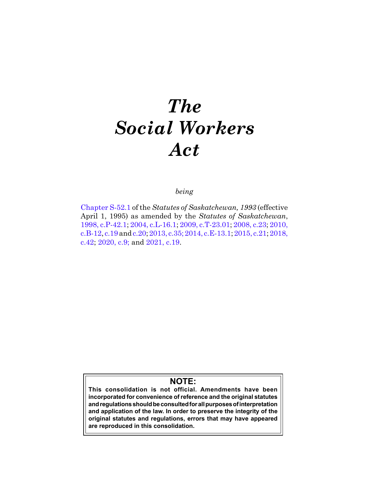# *The Social Workers Act*

# *being*

[Chapter S-52.1](https://publications.saskatchewan.ca:443/api/v1/products/26409/formats/33554/download) of the *Statutes of Saskatchewan, 1993* (effective April 1, 1995) as amended by the *Statutes of Saskatchewan*, [1998, c.P-42.1;](https://publications.saskatchewan.ca:443/api/v1/products/3596/formats/6782/download) [2004, c.L-16.1](https://publications.saskatchewan.ca:443/api/v1/products/9371/formats/14125/download); [2009, c.T-23.01;](https://publications.saskatchewan.ca:443/api/v1/products/27765/formats/34842/download) [2008, c.23;](https://publications.saskatchewan.ca:443/api/v1/products/25151/formats/32430/download) [2010,](https://publications.saskatchewan.ca:443/api/v1/products/30311/formats/37299/download)  [c.B-12](https://publications.saskatchewan.ca:443/api/v1/products/30311/formats/37299/download), [c.19](https://publications.saskatchewan.ca:443/api/v1/products/30300/formats/37277/download) and [c.20;](https://publications.saskatchewan.ca:443/api/v1/products/30301/formats/37279/download) [2013, c.35;](https://publications.saskatchewan.ca:443/api/v1/products/67247/formats/74742/download) [2014, c.E-13.1](https://publications.saskatchewan.ca:443/api/v1/products/70626/formats/78515/download); [2015, c.21](https://publications.saskatchewan.ca:443/api/v1/products/73252/formats/81853/download); [2018,](https://publications.saskatchewan.ca:443/api/v1/products/90531/formats/107441/download)  [c.42;](https://publications.saskatchewan.ca:443/api/v1/products/90531/formats/107441/download) [2020, c.9;](https://publications.saskatchewan.ca:443/api/v1/products/105154/formats/117271/download) and [2021, c.19](https://publications.saskatchewan.ca:443/api/v1/products/113396/formats/127506/download).

# **NOTE:**

**This consolidation is not official. Amendments have been incorporated for convenience of reference and the original statutes and regulations should be consulted for all purposes of interpretation and application of the law. In order to preserve the integrity of the original statutes and regulations, errors that may have appeared are reproduced in this consolidation.**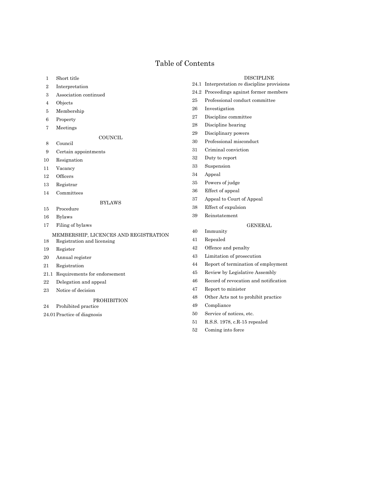# Table of Contents

- Short title
- Interpretation
- Association continued
- Objects
- Membership
- Property
- Meetings
- **COUNCIL**
- Council
- Certain appointments
- Resignation
- Vacancy
- 12 Officers
- Registrar
- Committees

# BYLAWS

- Procedure
- Bylaws
- Filing of bylaws

# MEMBERSHIP, LICENCES AND REGISTRATION

- Registration and licensing
- Register
- Annual register
- Registration
- 21.1 Requirements for endorsement
- Delegation and appeal
- Notice of decision

# PROHIBITION

- Prohibited practice
- 24.01Practice of diagnosis

#### DISCIPLINE

- 24.1 Interpretation re discipline provisions
- 24.2 Proceedings against former members
- Professional conduct committee
- Investigation
- Discipline committee
- Discipline hearing
- Disciplinary powers
- Professional misconduct
- Criminal conviction
- Duty to report
- Suspension
- Appeal
- Powers of judge
- Effect of appeal
- Appeal to Court of Appeal
- Effect of expulsion
- Reinstatement

# GENERAL

- Immunity
- Repealed
- Offence and penalty
- Limitation of prosecution
- Report of termination of employment
- Review by Legislative Assembly
- 46 Record of revocation and notification
- Report to minister
- Other Acts not to prohibit practice
- Compliance
- Service of notices, etc.
- R.S.S. 1978, c.R-15 repealed
- Coming into force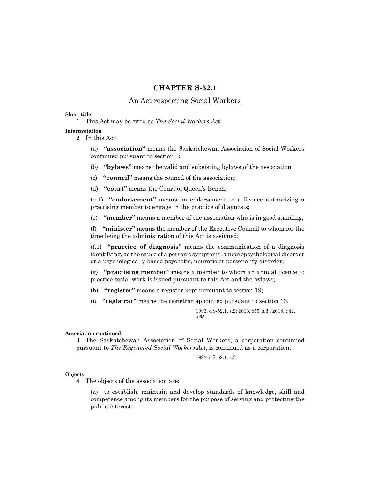# **CHAPTER S-52.1**

# An Act respecting Social Workers

#### **Short title**

**1** This Act may be cited as *The Social Workers Act*.

# **Interpretation**

**2** In this Act:

(a) **"association"** means the Saskatchewan Association of Social Workers continued pursuant to section 3;

- (b) **"bylaws"** means the valid and subsisting bylaws of the association;
- (c) **"council"** means the council of the association;
- (d) **"court"** means the Court of Queen's Bench;

(d.1) **"endorsement"** means an endorsement to a licence authorizing a practising member to engage in the practice of diagnosis;

(e) **"member"** means a member of the association who is in good standing;

(f) **"minister"** means the member of the Executive Council to whom for the time being the administration of this Act is assigned;

(f.1) **"practice of diagnosis"** means the communication of a diagnosis identifying, as the cause of a person's symptoms, a neuropsychological disorder or a psychologically-based psychotic, neurotic or personality disorder;

(g) **"practising member"** means a member to whom an annual licence to practice social work is issued pursuant to this Act and the bylaws;

- (h) **"register"** means a register kept pursuant to section 19;
- (i) **"registrar"** means the registrar appointed pursuant to section 13.

1993, c.S-52.1, s.2; 2013, c35, s.3 ; 2018, c42, s.65.

# **Association continued**

**3** The Saskatchewan Association of Social Workers, a corporation continued pursuant to *The Registered Social Workers Act*, is continued as a corporation.

1993, c.S-52.1, s.3.

#### **Objects**

**4** The objects of the association are:

(a) to establish, maintain and develop standards of knowledge, skill and competence among its members for the purpose of serving and protecting the public interest;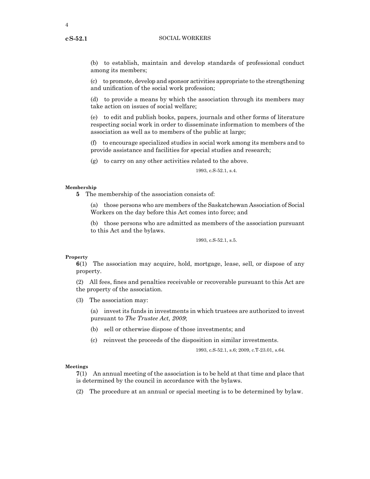**cS-52.1**

(b) to establish, maintain and develop standards of professional conduct among its members;

(c) to promote, develop and sponsor activities appropriate to the strengthening and unification of the social work profession;

(d) to provide a means by which the association through its members may take action on issues of social welfare;

(e) to edit and publish books, papers, journals and other forms of literature respecting social work in order to disseminate information to members of the association as well as to members of the public at large;

(f) to encourage specialized studies in social work among its members and to provide assistance and facilities for special studies and research;

(g) to carry on any other activities related to the above.

1993, c.S-52.1, s.4.

#### **Membership**

**5** The membership of the association consists of:

(a) those persons who are members of the Saskatchewan Association of Social Workers on the day before this Act comes into force; and

(b) those persons who are admitted as members of the association pursuant to this Act and the bylaws.

1993, c.S-52.1, s.5.

#### **Property**

**6**(1) The association may acquire, hold, mortgage, lease, sell, or dispose of any property.

(2) All fees, fines and penalties receivable or recoverable pursuant to this Act are the property of the association.

(3) The association may:

(a) invest its funds in investments in which trustees are authorized to invest pursuant to *The Trustee Act, 2009*;

- (b) sell or otherwise dispose of those investments; and
- (c) reinvest the proceeds of the disposition in similar investments.

1993, c.S-52.1, s.6; 2009, c.T-23.01, s.64.

#### **Meetings**

**7**(1) An annual meeting of the association is to be held at that time and place that is determined by the council in accordance with the bylaws.

(2) The procedure at an annual or special meeting is to be determined by bylaw.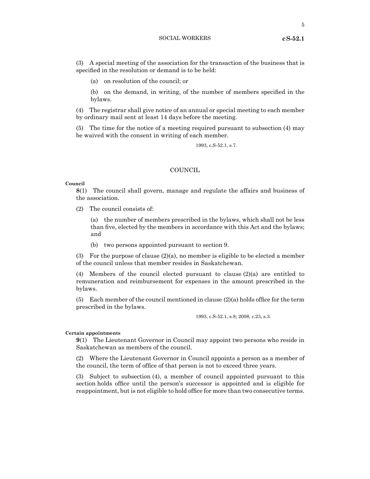5

(3) A special meeting of the association for the transaction of the business that is specified in the resolution or demand is to be held:

(a) on resolution of the council; or

(b) on the demand, in writing, of the number of members specified in the bylaws.

(4) The registrar shall give notice of an annual or special meeting to each member by ordinary mail sent at least 14 days before the meeting.

(5) The time for the notice of a meeting required pursuant to subsection (4) may be waived with the consent in writing of each member.

1993, c.S-52.1, s.7.

# **COUNCIL**

# **Council**

**8**(1) The council shall govern, manage and regulate the affairs and business of the association.

(2) The council consists of:

(a) the number of members prescribed in the bylaws, which shall not be less than five, elected by the members in accordance with this Act and the bylaws; and

(b) two persons appointed pursuant to section 9.

(3) For the purpose of clause  $(2)(a)$ , no member is eligible to be elected a member of the council unless that member resides in Saskatchewan.

(4) Members of the council elected pursuant to clause  $(2)(a)$  are entitled to remuneration and reimbursement for expenses in the amount prescribed in the bylaws.

(5) Each member of the council mentioned in clause (2)(a) holds office for the term prescribed in the bylaws.

1993, c.S-52.1, s.8; 2008, c.23, s.3.

# **Certain appointments**

**9**(1) The Lieutenant Governor in Council may appoint two persons who reside in Saskatchewan as members of the council.

(2) Where the Lieutenant Governor in Council appoints a person as a member of the council, the term of office of that person is not to exceed three years.

(3) Subject to subsection (4), a member of council appointed pursuant to this section holds office until the person's successor is appointed and is eligible for reappointment, but is not eligible to hold office for more than two consecutive terms.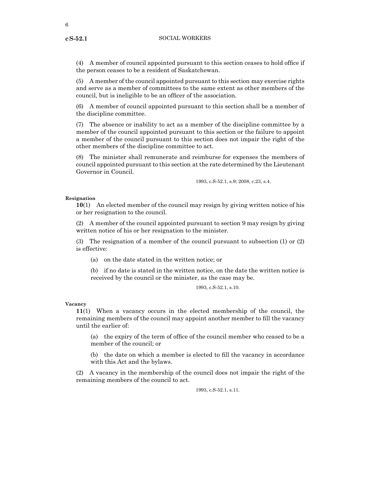**cS-52.1**

(4) A member of council appointed pursuant to this section ceases to hold office if the person ceases to be a resident of Saskatchewan.

(5) A member of the council appointed pursuant to this section may exercise rights and serve as a member of committees to the same extent as other members of the council, but is ineligible to be an officer of the association.

(6) A member of council appointed pursuant to this section shall be a member of the discipline committee.

(7) The absence or inability to act as a member of the discipline committee by a member of the council appointed pursuant to this section or the failure to appoint a member of the council pursuant to this section does not impair the right of the other members of the discipline committee to act.

(8) The minister shall remunerate and reimburse for expenses the members of council appointed pursuant to this section at the rate determined by the Lieutenant Governor in Council.

1993, c.S-52.1, s.9; 2008, c.23, s.4.

# **Resignation**

**10**(1) An elected member of the council may resign by giving written notice of his or her resignation to the council.

(2) A member of the council appointed pursuant to section 9 may resign by giving written notice of his or her resignation to the minister.

(3) The resignation of a member of the council pursuant to subsection (1) or (2) is effective:

(a) on the date stated in the written notice; or

(b) if no date is stated in the written notice, on the date the written notice is received by the council or the minister, as the case may be.

1993, c.S-52.1, s.10.

#### **Vacancy**

**11**(1) When a vacancy occurs in the elected membership of the council, the remaining members of the council may appoint another member to fill the vacancy until the earlier of:

(a) the expiry of the term of office of the council member who ceased to be a member of the council; or

(b) the date on which a member is elected to fill the vacancy in accordance with this Act and the bylaws.

(2) A vacancy in the membership of the council does not impair the right of the remaining members of the council to act.

1993, c.S-52.1, s.11.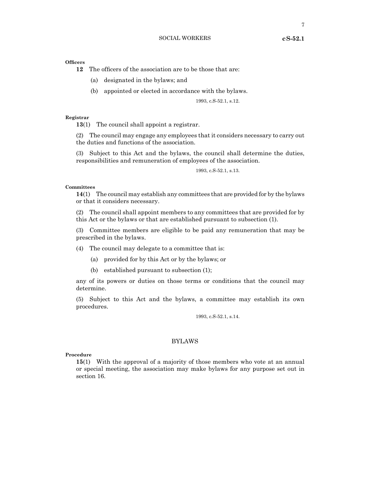**12** The officers of the association are to be those that are:

- (a) designated in the bylaws; and
- (b) appointed or elected in accordance with the bylaws.

1993, c.S-52.1, s.12.

# **Registrar**

**13**(1) The council shall appoint a registrar.

(2) The council may engage any employees that it considers necessary to carry out the duties and functions of the association.

(3) Subject to this Act and the bylaws, the council shall determine the duties, responsibilities and remuneration of employees of the association.

1993, c.S-52.1, s.13.

#### **Committees**

**14**(1) The council may establish any committees that are provided for by the bylaws or that it considers necessary.

(2) The council shall appoint members to any committees that are provided for by this Act or the bylaws or that are established pursuant to subsection (1).

(3) Committee members are eligible to be paid any remuneration that may be prescribed in the bylaws.

(4) The council may delegate to a committee that is:

(a) provided for by this Act or by the bylaws; or

(b) established pursuant to subsection (1);

any of its powers or duties on those terms or conditions that the council may determine.

(5) Subject to this Act and the bylaws, a committee may establish its own procedures.

1993, c.S-52.1, s.14.

# BYLAWS

#### **Procedure**

**15**(1) With the approval of a majority of those members who vote at an annual or special meeting, the association may make bylaws for any purpose set out in section 16.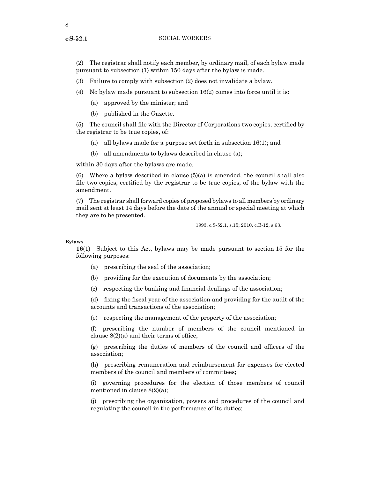**cS-52.1**

(2) The registrar shall notify each member, by ordinary mail, of each bylaw made pursuant to subsection (1) within 150 days after the bylaw is made.

(3) Failure to comply with subsection (2) does not invalidate a bylaw.

- (4) No bylaw made pursuant to subsection  $16(2)$  comes into force until it is:
	- (a) approved by the minister; and
	- (b) published in the Gazette.

(5) The council shall file with the Director of Corporations two copies, certified by the registrar to be true copies, of:

- (a) all bylaws made for a purpose set forth in subsection 16(1); and
- (b) all amendments to bylaws described in clause (a);

within 30 days after the bylaws are made.

(6) Where a bylaw described in clause (5)(a) is amended, the council shall also file two copies, certified by the registrar to be true copies, of the bylaw with the amendment.

(7) The registrar shall forward copies of proposed bylaws to all members by ordinary mail sent at least 14 days before the date of the annual or special meeting at which they are to be presented.

1993, c.S-52.1, s.15; 2010, c.B-12, s.63.

# **Bylaws**

**16**(1) Subject to this Act, bylaws may be made pursuant to section 15 for the following purposes:

- (a) prescribing the seal of the association;
- (b) providing for the execution of documents by the association;
- (c) respecting the banking and financial dealings of the association;

(d) fixing the fiscal year of the association and providing for the audit of the accounts and transactions of the association;

(e) respecting the management of the property of the association;

(f) prescribing the number of members of the council mentioned in clause 8(2)(a) and their terms of office;

(g) prescribing the duties of members of the council and officers of the association;

(h) prescribing remuneration and reimbursement for expenses for elected members of the council and members of committees;

(i) governing procedures for the election of those members of council mentioned in clause 8(2)(a);

(j) prescribing the organization, powers and procedures of the council and regulating the council in the performance of its duties;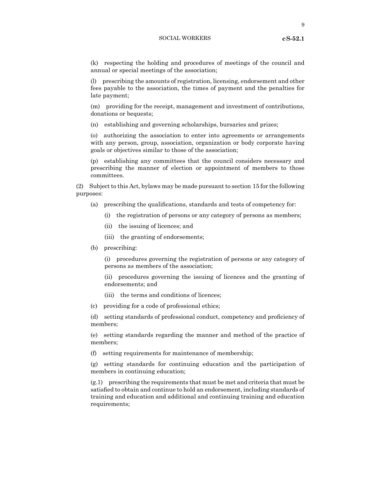(k) respecting the holding and procedures of meetings of the council and annual or special meetings of the association;

(l) prescribing the amounts of registration, licensing, endorsement and other fees payable to the association, the times of payment and the penalties for late payment;

(m) providing for the receipt, management and investment of contributions, donations or bequests;

(n) establishing and governing scholarships, bursaries and prizes;

(o) authorizing the association to enter into agreements or arrangements with any person, group, association, organization or body corporate having goals or objectives similar to those of the association;

(p) establishing any committees that the council considers necessary and prescribing the manner of election or appointment of members to those committees.

(2) Subject to this Act, bylaws may be made pursuant to section 15 for the following purposes:

- (a) prescribing the qualifications, standards and tests of competency for:
	- (i) the registration of persons or any category of persons as members;
	- (ii) the issuing of licences; and
	- (iii) the granting of endorsements;
- (b) prescribing:

(i) procedures governing the registration of persons or any category of persons as members of the association;

(ii) procedures governing the issuing of licences and the granting of endorsements; and

- (iii) the terms and conditions of licences;
- (c) providing for a code of professional ethics;

(d) setting standards of professional conduct, competency and proficiency of members;

(e) setting standards regarding the manner and method of the practice of members;

(f) setting requirements for maintenance of membership;

(g) setting standards for continuing education and the participation of members in continuing education;

(g.1) prescribing the requirements that must be met and criteria that must be satisfied to obtain and continue to hold an endorsement, including standards of training and education and additional and continuing training and education requirements;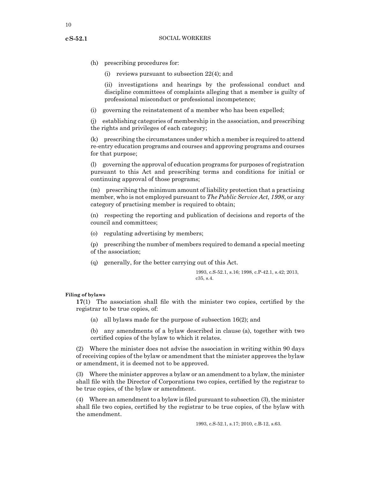- **cS-52.1**
- (h) prescribing procedures for:

(i) reviews pursuant to subsection 22(4); and

(ii) investigations and hearings by the professional conduct and discipline committees of complaints alleging that a member is guilty of professional misconduct or professional incompetence;

(i) governing the reinstatement of a member who has been expelled;

(j) establishing categories of membership in the association, and prescribing the rights and privileges of each category;

(k) prescribing the circumstances under which a member is required to attend re-entry education programs and courses and approving programs and courses for that purpose;

(l) governing the approval of education programs for purposes of registration pursuant to this Act and prescribing terms and conditions for initial or continuing approval of those programs;

(m) prescribing the minimum amount of liability protection that a practising member, who is not employed pursuant to *The Public Service Act, 1998*, or any category of practising member is required to obtain;

(n) respecting the reporting and publication of decisions and reports of the council and committees;

(o) regulating advertising by members;

(p) prescribing the number of members required to demand a special meeting of the association;

(q) generally, for the better carrying out of this Act.

1993, c.S-52.1, s.16; 1998, c.P-42.1, s.42; 2013,  $c35$ , s.4.

# **Filing of bylaws**

**17**(1) The association shall file with the minister two copies, certified by the registrar to be true copies, of:

- (a) all bylaws made for the purpose of subsection 16(2); and
- (b) any amendments of a bylaw described in clause (a), together with two certified copies of the bylaw to which it relates.

(2) Where the minister does not advise the association in writing within 90 days of receiving copies of the bylaw or amendment that the minister approves the bylaw or amendment, it is deemed not to be approved.

(3) Where the minister approves a bylaw or an amendment to a bylaw, the minister shall file with the Director of Corporations two copies, certified by the registrar to be true copies, of the bylaw or amendment.

(4) Where an amendment to a bylaw is filed pursuant to subsection  $(3)$ , the minister shall file two copies, certified by the registrar to be true copies, of the bylaw with the amendment.

1993, c.S-52.1, s.17; 2010, c.B-12, s.63.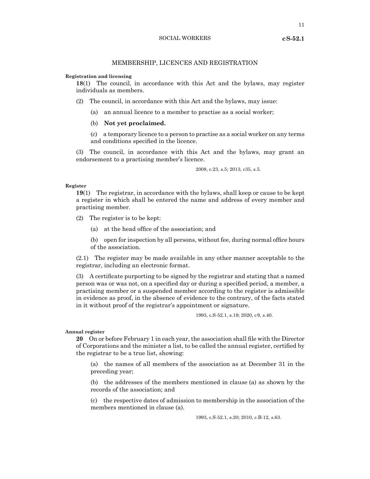11

# MEMBERSHIP, LICENCES AND REGISTRATION

#### **Registration and licensing**

**18**(1) The council, in accordance with this Act and the bylaws, may register individuals as members.

- (2) The council, in accordance with this Act and the bylaws, may issue:
	- (a) an annual licence to a member to practise as a social worker;
	- (b) **Not yet proclaimed.**
	- (c) a temporary licence to a person to practise as a social worker on any terms and conditions specified in the licence.

(3) The council, in accordance with this Act and the bylaws, may grant an endorsement to a practising member's licence.

2008, c.23, s.5; 2013, c35, s.5.

#### **Register**

**19**(1) The registrar, in accordance with the bylaws, shall keep or cause to be kept a register in which shall be entered the name and address of every member and practising member.

- (2) The register is to be kept:
	- (a) at the head office of the association; and
	- (b) open for inspection by all persons, without fee, during normal office hours of the association.

(2.1) The register may be made available in any other manner acceptable to the registrar, including an electronic format.

(3) A certificate purporting to be signed by the registrar and stating that a named person was or was not, on a specified day or during a specified period, a member, a practising member or a suspended member according to the register is admissible in evidence as proof, in the absence of evidence to the contrary, of the facts stated in it without proof of the registrar's appointment or signature.

1993, c.S-52.1, s.19; 2020, c9, s.40.

#### **Annual register**

**20** On or before February 1 in each year, the association shall file with the Director of Corporations and the minister a list, to be called the annual register, certified by the registrar to be a true list, showing:

(a) the names of all members of the association as at December 31 in the preceding year;

(b) the addresses of the members mentioned in clause (a) as shown by the records of the association; and

(c) the respective dates of admission to membership in the association of the members mentioned in clause (a).

1993, c.S-52.1, s.20; 2010, c.B-12, s.63.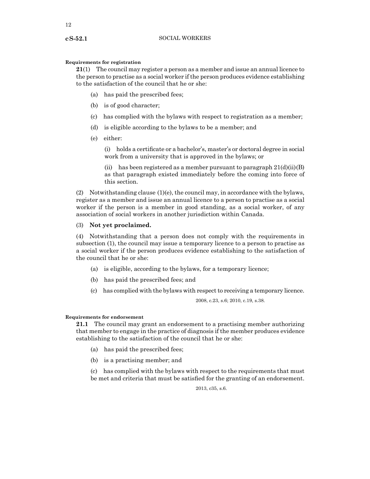#### **Requirements for registration**

**21**(1) The council may register a person as a member and issue an annual licence to the person to practise as a social worker if the person produces evidence establishing to the satisfaction of the council that he or she:

- (a) has paid the prescribed fees;
- (b) is of good character;
- (c) has complied with the bylaws with respect to registration as a member;
- (d) is eligible according to the bylaws to be a member; and
- (e) either:

(i) holds a certificate or a bachelor's, master's or doctoral degree in social work from a university that is approved in the bylaws; or

(ii) has been registered as a member pursuant to paragraph  $21(d)(ii)(B)$ as that paragraph existed immediately before the coming into force of this section.

(2) Notwithstanding clause (1)(e), the council may, in accordance with the bylaws, register as a member and issue an annual licence to a person to practise as a social worker if the person is a member in good standing, as a social worker, of any association of social workers in another jurisdiction within Canada.

# (3) **Not yet proclaimed.**

(4) Notwithstanding that a person does not comply with the requirements in subsection (1), the council may issue a temporary licence to a person to practise as a social worker if the person produces evidence establishing to the satisfaction of the council that he or she:

- (a) is eligible, according to the bylaws, for a temporary licence;
- (b) has paid the prescribed fees; and
- (c) has complied with the bylaws with respect to receiving a temporary licence.

2008, c.23, s.6; 2010, c.19, s.38.

# **Requirements for endorsement**

**21.1** The council may grant an endorsement to a practising member authorizing that member to engage in the practice of diagnosis if the member produces evidence establishing to the satisfaction of the council that he or she:

- (a) has paid the prescribed fees;
- (b) is a practising member; and

(c) has complied with the bylaws with respect to the requirements that must be met and criteria that must be satisfied for the granting of an endorsement.

2013, c35, s.6.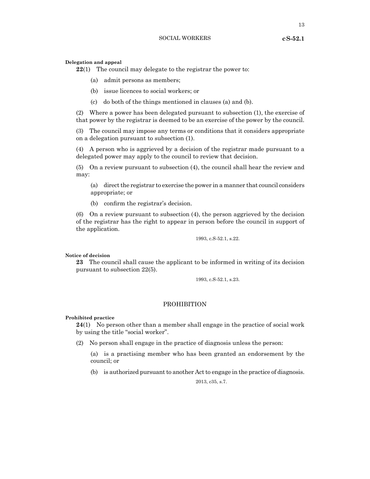## **Delegation and appeal**

**22**(1) The council may delegate to the registrar the power to:

- (a) admit persons as members;
- (b) issue licences to social workers; or
- (c) do both of the things mentioned in clauses (a) and (b).

(2) Where a power has been delegated pursuant to subsection (1), the exercise of that power by the registrar is deemed to be an exercise of the power by the council.

(3) The council may impose any terms or conditions that it considers appropriate on a delegation pursuant to subsection (1).

(4) A person who is aggrieved by a decision of the registrar made pursuant to a delegated power may apply to the council to review that decision.

(5) On a review pursuant to subsection (4), the council shall hear the review and may:

(a) direct the registrar to exercise the power in a manner that council considers appropriate; or

(b) confirm the registrar's decision.

(6) On a review pursuant to subsection (4), the person aggrieved by the decision of the registrar has the right to appear in person before the council in support of the application.

1993, c.S-52.1, s.22.

# **Notice of decision**

**23** The council shall cause the applicant to be informed in writing of its decision pursuant to subsection 22(5).

1993, c.S-52.1, s.23.

# PROHIBITION

#### **Prohibited practice**

**24**(1) No person other than a member shall engage in the practice of social work by using the title "social worker".

(2) No person shall engage in the practice of diagnosis unless the person:

(a) is a practising member who has been granted an endorsement by the council; or

(b) is authorized pursuant to another Act to engage in the practice of diagnosis.

2013, c35, s.7.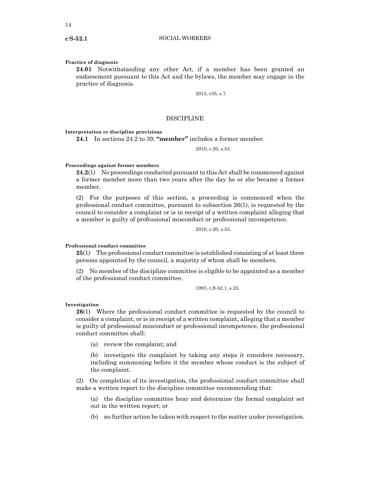#### **Practice of diagnosis**

**24.01** Notwithstanding any other Act, if a member has been granted an endorsement pursuant to this Act and the bylaws, the member may engage in the practice of diagnosis.

2013, c35, s.7.

# **DISCIPLINE**

# **Interpretation re discipline provisions**

**24.1** In sections 24.2 to 39, **"member"** includes a former member.

2010, c.20, s.53.

#### **Proceedings against former members**

**24.2**(1) No proceedings conducted pursuant to this Act shall be commenced against a former member more than two years after the day he or she became a former member.

(2) For the purposes of this section, a proceeding is commenced when the professional conduct committee, pursuant to subsection 26(1), is requested by the council to consider a complaint or is in receipt of a written complaint alleging that a member is guilty of professional misconduct or professional incompetence.

2010, c.20, s.53.

# **Professional conduct committee**

**25**(1) The professional conduct committee is established consisting of at least three persons appointed by the council, a majority of whom shall be members.

(2) No member of the discipline committee is eligible to be appointed as a member of the professional conduct committee.

1993, c.S-52.1, s.25.

#### **Investigation**

**26**(1) Where the professional conduct committee is requested by the council to consider a complaint, or is in receipt of a written complaint, alleging that a member is guilty of professional misconduct or professional incompetence, the professional conduct committee shall:

(a) review the complaint; and

(b) investigate the complaint by taking any steps it considers necessary, including summoning before it the member whose conduct is the subject of the complaint.

(2) On completion of its investigation, the professional conduct committee shall make a written report to the discipline committee recommending that:

(a) the discipline committee hear and determine the formal complaint set out in the written report; or

(b) no further action be taken with respect to the matter under investigation.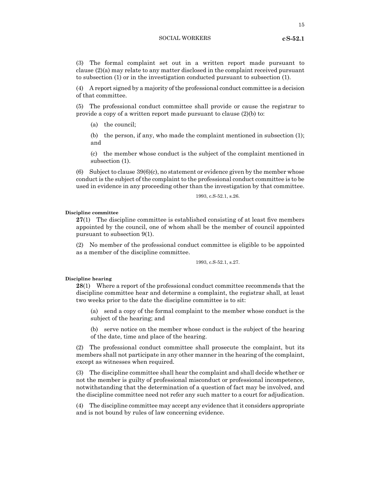15

(3) The formal complaint set out in a written report made pursuant to clause (2)(a) may relate to any matter disclosed in the complaint received pursuant to subsection (1) or in the investigation conducted pursuant to subsection (1).

(4) A report signed by a majority of the professional conduct committee is a decision of that committee.

(5) The professional conduct committee shall provide or cause the registrar to provide a copy of a written report made pursuant to clause (2)(b) to:

(a) the council;

(b) the person, if any, who made the complaint mentioned in subsection (1); and

(c) the member whose conduct is the subject of the complaint mentioned in subsection (1).

(6) Subject to clause  $39(6)(c)$ , no statement or evidence given by the member whose conduct is the subject of the complaint to the professional conduct committee is to be used in evidence in any proceeding other than the investigation by that committee.

1993, c.S-52.1, s.26.

#### **Discipline committee**

**27**(1) The discipline committee is established consisting of at least five members appointed by the council, one of whom shall be the member of council appointed pursuant to subsection 9(1).

(2) No member of the professional conduct committee is eligible to be appointed as a member of the discipline committee.

1993, c.S-52.1, s.27.

## **Discipline hearing**

**28**(1) Where a report of the professional conduct committee recommends that the discipline committee hear and determine a complaint, the registrar shall, at least two weeks prior to the date the discipline committee is to sit:

(a) send a copy of the formal complaint to the member whose conduct is the subject of the hearing; and

(b) serve notice on the member whose conduct is the subject of the hearing of the date, time and place of the hearing.

(2) The professional conduct committee shall prosecute the complaint, but its members shall not participate in any other manner in the hearing of the complaint, except as witnesses when required.

(3) The discipline committee shall hear the complaint and shall decide whether or not the member is guilty of professional misconduct or professional incompetence, notwithstanding that the determination of a question of fact may be involved, and the discipline committee need not refer any such matter to a court for adjudication.

(4) The discipline committee may accept any evidence that it considers appropriate and is not bound by rules of law concerning evidence.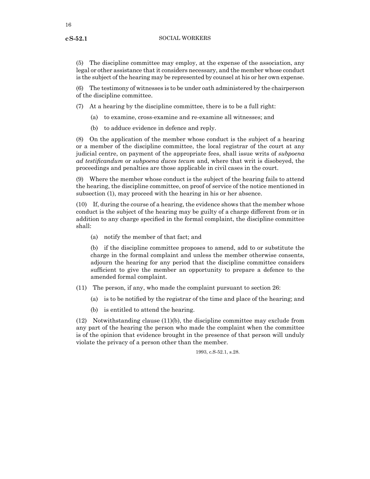**cS-52.1**

(5) The discipline committee may employ, at the expense of the association, any legal or other assistance that it considers necessary, and the member whose conduct is the subject of the hearing may be represented by counsel at his or her own expense.

(6) The testimony of witnesses is to be under oath administered by the chairperson of the discipline committee.

(7) At a hearing by the discipline committee, there is to be a full right:

- (a) to examine, cross-examine and re-examine all witnesses; and
- (b) to adduce evidence in defence and reply.

(8) On the application of the member whose conduct is the subject of a hearing or a member of the discipline committee, the local registrar of the court at any judicial centre, on payment of the appropriate fees, shall issue writs of *subpoena ad testificandum* or *subpoena duces tecum* and, where that writ is disobeyed, the proceedings and penalties are those applicable in civil cases in the court.

(9) Where the member whose conduct is the subject of the hearing fails to attend the hearing, the discipline committee, on proof of service of the notice mentioned in subsection (1), may proceed with the hearing in his or her absence.

(10) If, during the course of a hearing, the evidence shows that the member whose conduct is the subject of the hearing may be guilty of a charge different from or in addition to any charge specified in the formal complaint, the discipline committee shall:

(a) notify the member of that fact; and

(b) if the discipline committee proposes to amend, add to or substitute the charge in the formal complaint and unless the member otherwise consents, adjourn the hearing for any period that the discipline committee considers sufficient to give the member an opportunity to prepare a defence to the amended formal complaint.

- (11) The person, if any, who made the complaint pursuant to section 26:
	- (a) is to be notified by the registrar of the time and place of the hearing; and
	- (b) is entitled to attend the hearing.

(12) Notwithstanding clause (11)(b), the discipline committee may exclude from any part of the hearing the person who made the complaint when the committee is of the opinion that evidence brought in the presence of that person will unduly violate the privacy of a person other than the member.

1993, c.S-52.1, s.28.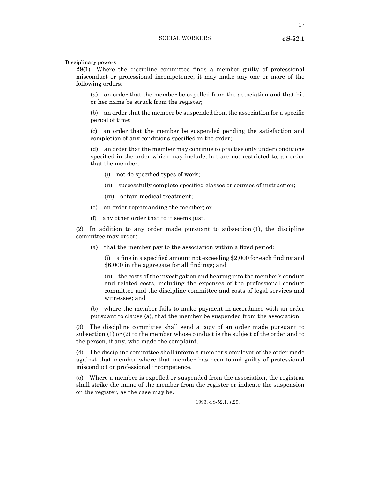17

#### **Disciplinary powers**

**29**(1) Where the discipline committee finds a member guilty of professional misconduct or professional incompetence, it may make any one or more of the following orders:

(a) an order that the member be expelled from the association and that his or her name be struck from the register;

(b) an order that the member be suspended from the association for a specific period of time;

(c) an order that the member be suspended pending the satisfaction and completion of any conditions specified in the order;

(d) an order that the member may continue to practise only under conditions specified in the order which may include, but are not restricted to, an order that the member:

- (i) not do specified types of work;
- (ii) successfully complete specified classes or courses of instruction;
- (iii) obtain medical treatment;
- (e) an order reprimanding the member; or
- (f) any other order that to it seems just.

(2) In addition to any order made pursuant to subsection (1), the discipline committee may order:

(a) that the member pay to the association within a fixed period:

(i) a fine in a specified amount not exceeding \$2,000 for each finding and \$6,000 in the aggregate for all findings; and

(ii) the costs of the investigation and hearing into the member's conduct and related costs, including the expenses of the professional conduct committee and the discipline committee and costs of legal services and witnesses; and

(b) where the member fails to make payment in accordance with an order pursuant to clause (a), that the member be suspended from the association.

(3) The discipline committee shall send a copy of an order made pursuant to subsection (1) or (2) to the member whose conduct is the subject of the order and to the person, if any, who made the complaint.

(4) The discipline committee shall inform a member's employer of the order made against that member where that member has been found guilty of professional misconduct or professional incompetence.

(5) Where a member is expelled or suspended from the association, the registrar shall strike the name of the member from the register or indicate the suspension on the register, as the case may be.

1993, c.S-52.1, s.29.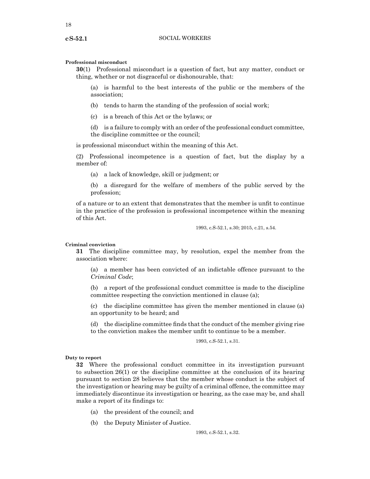# **Professional misconduct**

**30**(1) Professional misconduct is a question of fact, but any matter, conduct or thing, whether or not disgraceful or dishonourable, that:

(a) is harmful to the best interests of the public or the members of the association;

(b) tends to harm the standing of the profession of social work;

(c) is a breach of this Act or the bylaws; or

(d) is a failure to comply with an order of the professional conduct committee, the discipline committee or the council;

is professional misconduct within the meaning of this Act.

(2) Professional incompetence is a question of fact, but the display by a member of:

(a) a lack of knowledge, skill or judgment; or

(b) a disregard for the welfare of members of the public served by the profession;

of a nature or to an extent that demonstrates that the member is unfit to continue in the practice of the profession is professional incompetence within the meaning of this Act.

1993, c.S-52.1, s.30; 2015, c.21, s.54.

#### **Criminal conviction**

**31** The discipline committee may, by resolution, expel the member from the association where:

(a) a member has been convicted of an indictable offence pursuant to the *Criminal Code*;

(b) a report of the professional conduct committee is made to the discipline committee respecting the conviction mentioned in clause (a);

(c) the discipline committee has given the member mentioned in clause (a) an opportunity to be heard; and

(d) the discipline committee finds that the conduct of the member giving rise to the conviction makes the member unfit to continue to be a member.

1993, c.S-52.1, s.31.

#### **Duty to report**

**32** Where the professional conduct committee in its investigation pursuant to subsection 26(1) or the discipline committee at the conclusion of its hearing pursuant to section 28 believes that the member whose conduct is the subject of the investigation or hearing may be guilty of a criminal offence, the committee may immediately discontinue its investigation or hearing, as the case may be, and shall make a report of its findings to:

- (a) the president of the council; and
- (b) the Deputy Minister of Justice.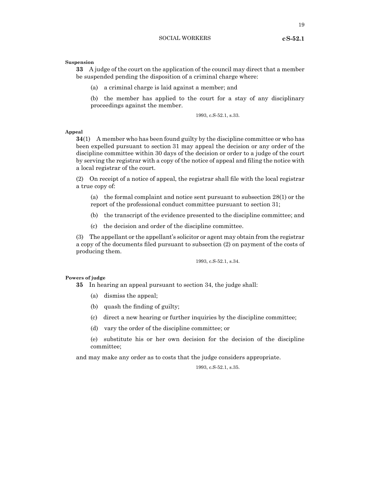19

# **Suspension**

**33** A judge of the court on the application of the council may direct that a member be suspended pending the disposition of a criminal charge where:

(a) a criminal charge is laid against a member; and

(b) the member has applied to the court for a stay of any disciplinary proceedings against the member.

1993, c.S-52.1, s.33.

# **Appeal**

**34**(1) A member who has been found guilty by the discipline committee or who has been expelled pursuant to section 31 may appeal the decision or any order of the discipline committee within 30 days of the decision or order to a judge of the court by serving the registrar with a copy of the notice of appeal and filing the notice with a local registrar of the court.

(2) On receipt of a notice of appeal, the registrar shall file with the local registrar a true copy of:

(a) the formal complaint and notice sent pursuant to subsection 28(1) or the report of the professional conduct committee pursuant to section 31;

(b) the transcript of the evidence presented to the discipline committee; and

(c) the decision and order of the discipline committee.

(3) The appellant or the appellant's solicitor or agent may obtain from the registrar a copy of the documents filed pursuant to subsection (2) on payment of the costs of producing them.

1993, c.S-52.1, s.34.

#### **Powers of judge**

**35** In hearing an appeal pursuant to section 34, the judge shall:

- (a) dismiss the appeal;
- (b) quash the finding of guilty;
- (c) direct a new hearing or further inquiries by the discipline committee;
- (d) vary the order of the discipline committee; or

(e) substitute his or her own decision for the decision of the discipline committee;

and may make any order as to costs that the judge considers appropriate.

1993, c.S-52.1, s.35.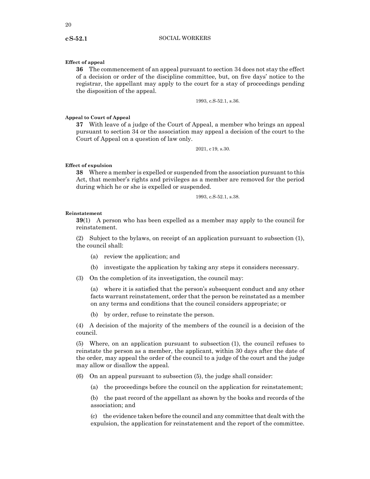# **Effect of appeal**

**36** The commencement of an appeal pursuant to section 34 does not stay the effect of a decision or order of the discipline committee, but, on five days' notice to the registrar, the appellant may apply to the court for a stay of proceedings pending the disposition of the appeal.

1993, c.S-52.1, s.36.

#### **Appeal to Court of Appeal**

**37** With leave of a judge of the Court of Appeal, a member who brings an appeal pursuant to section 34 or the association may appeal a decision of the court to the Court of Appeal on a question of law only.

2021, c19, s.30.

#### **Effect of expulsion**

**38** Where a member is expelled or suspended from the association pursuant to this Act, that member's rights and privileges as a member are removed for the period during which he or she is expelled or suspended.

1993, c.S-52.1, s.38.

#### **Reinstatement**

**39**(1) A person who has been expelled as a member may apply to the council for reinstatement.

(2) Subject to the bylaws, on receipt of an application pursuant to subsection (1), the council shall:

- (a) review the application; and
- (b) investigate the application by taking any steps it considers necessary.
- (3) On the completion of its investigation, the council may:

(a) where it is satisfied that the person's subsequent conduct and any other facts warrant reinstatement, order that the person be reinstated as a member on any terms and conditions that the council considers appropriate; or

(b) by order, refuse to reinstate the person.

(4) A decision of the majority of the members of the council is a decision of the council.

(5) Where, on an application pursuant to subsection (1), the council refuses to reinstate the person as a member, the applicant, within 30 days after the date of the order, may appeal the order of the council to a judge of the court and the judge may allow or disallow the appeal.

(6) On an appeal pursuant to subsection (5), the judge shall consider:

(a) the proceedings before the council on the application for reinstatement;

(b) the past record of the appellant as shown by the books and records of the association; and

(c) the evidence taken before the council and any committee that dealt with the expulsion, the application for reinstatement and the report of the committee.

# **cS-52.1**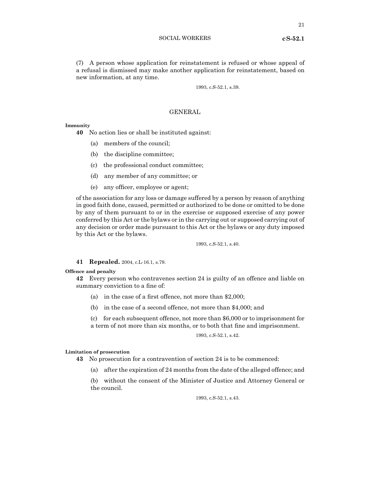(7) A person whose application for reinstatement is refused or whose appeal of a refusal is dismissed may make another application for reinstatement, based on new information, at any time.

1993, c.S-52.1, s.39.

# GENERAL

#### **Immunity**

**40** No action lies or shall be instituted against:

- (a) members of the council;
- (b) the discipline committee;
- (c) the professional conduct committee;
- (d) any member of any committee; or
- (e) any officer, employee or agent;

of the association for any loss or damage suffered by a person by reason of anything in good faith done, caused, permitted or authorized to be done or omitted to be done by any of them pursuant to or in the exercise or supposed exercise of any power conferred by this Act or the bylaws or in the carrying out or supposed carrying out of any decision or order made pursuant to this Act or the bylaws or any duty imposed by this Act or the bylaws.

1993, c.S-52.1, s.40.

# **41 Repealed.** 2004, c.L-16.1, s.79.

#### **Offence and penalty**

**42** Every person who contravenes section 24 is guilty of an offence and liable on summary conviction to a fine of:

- (a) in the case of a first offence, not more than \$2,000;
- (b) in the case of a second offence, not more than \$4,000; and

(c) for each subsequent offence, not more than \$6,000 or to imprisonment for a term of not more than six months, or to both that fine and imprisonment.

1993, c.S-52.1, s.42.

#### **Limitation of prosecution**

**43** No prosecution for a contravention of section 24 is to be commenced:

(a) after the expiration of 24 months from the date of the alleged offence; and

(b) without the consent of the Minister of Justice and Attorney General or the council.

1993, c.S-52.1, s.43.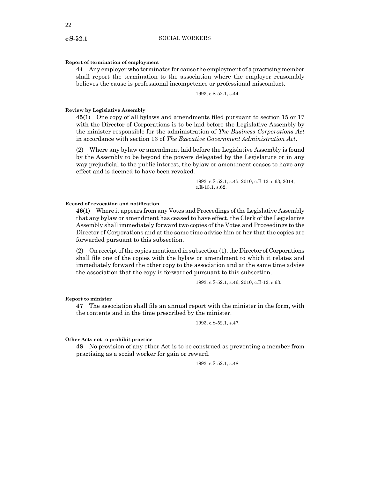#### **Report of termination of employment**

**44** Any employer who terminates for cause the employment of a practising member shall report the termination to the association where the employer reasonably believes the cause is professional incompetence or professional misconduct.

1993, c.S-52.1, s.44.

#### **Review by Legislative Assembly**

**45**(1) One copy of all bylaws and amendments filed pursuant to section 15 or 17 with the Director of Corporations is to be laid before the Legislative Assembly by the minister responsible for the administration of *The Business Corporations Act* in accordance with section 13 of *The Executive Government Administration Act*.

(2) Where any bylaw or amendment laid before the Legislative Assembly is found by the Assembly to be beyond the powers delegated by the Legislature or in any way prejudicial to the public interest, the bylaw or amendment ceases to have any effect and is deemed to have been revoked.

> 1993, c.S-52.1, s.45; 2010, c.B-12, s.63; 2014, c.E-13.1, s.62.

# **Record of revocation and notification**

**46**(1) Where it appears from any Votes and Proceedings of the Legislative Assembly that any bylaw or amendment has ceased to have effect, the Clerk of the Legislative Assembly shall immediately forward two copies of the Votes and Proceedings to the Director of Corporations and at the same time advise him or her that the copies are forwarded pursuant to this subsection.

(2) On receipt of the copies mentioned in subsection (1), the Director of Corporations shall file one of the copies with the bylaw or amendment to which it relates and immediately forward the other copy to the association and at the same time advise the association that the copy is forwarded pursuant to this subsection.

1993, c.S-52.1, s.46; 2010, c.B-12, s.63.

#### **Report to minister**

**47** The association shall file an annual report with the minister in the form, with the contents and in the time prescribed by the minister.

1993, c.S-52.1, s.47.

#### **Other Acts not to prohibit practice**

**48** No provision of any other Act is to be construed as preventing a member from practising as a social worker for gain or reward.

1993, c.S-52.1, s.48.

#### **cS-52.1**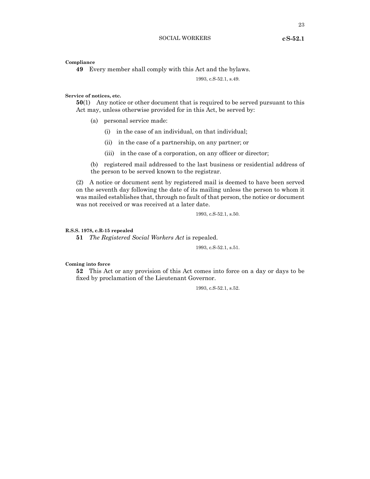**Compliance**

**49** Every member shall comply with this Act and the bylaws.

1993, c.S-52.1, s.49.

**Service of notices, etc.**

**50**(1) Any notice or other document that is required to be served pursuant to this Act may, unless otherwise provided for in this Act, be served by:

- (a) personal service made:
	- (i) in the case of an individual, on that individual;
	- (ii) in the case of a partnership, on any partner; or
	- (iii) in the case of a corporation, on any officer or director;

(b) registered mail addressed to the last business or residential address of the person to be served known to the registrar.

(2) A notice or document sent by registered mail is deemed to have been served on the seventh day following the date of its mailing unless the person to whom it was mailed establishes that, through no fault of that person, the notice or document was not received or was received at a later date.

1993, c.S-52.1, s.50.

#### **R.S.S. 1978, c.R-15 repealed**

**51** *The Registered Social Workers Act* is repealed.

1993, c.S-52.1, s.51.

#### **Coming into force**

**52** This Act or any provision of this Act comes into force on a day or days to be fixed by proclamation of the Lieutenant Governor.

1993, c.S-52.1, s.52.